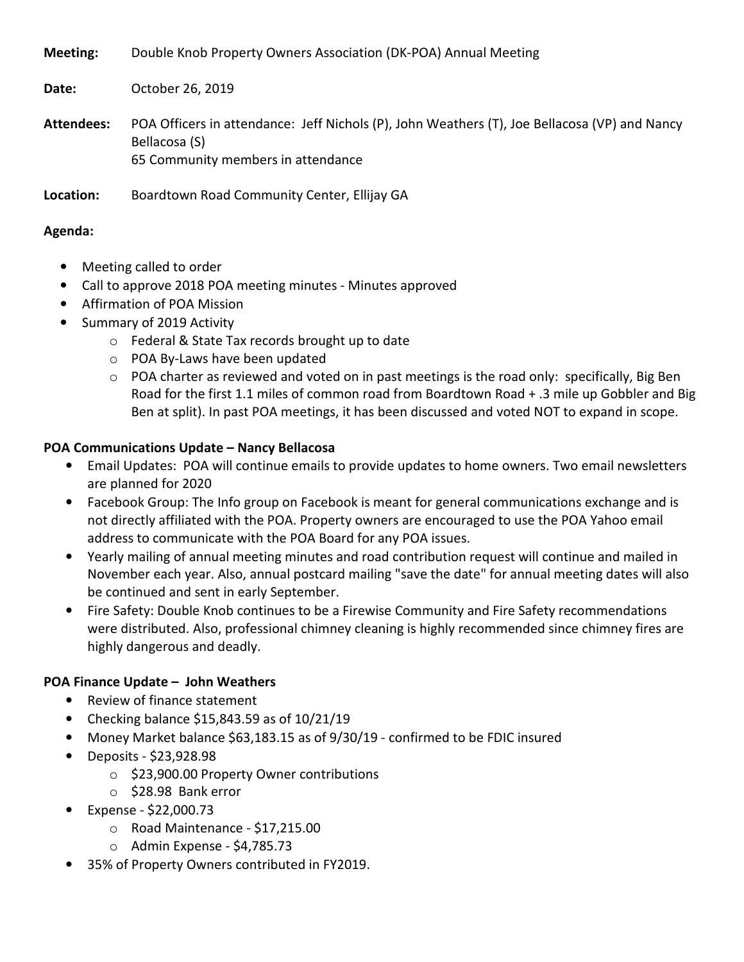**Meeting:** Double Knob Property Owners Association (DK-POA) Annual Meeting

**Date:** October 26, 2019

**Attendees:** POA Officers in attendance: Jeff Nichols (P), John Weathers (T), Joe Bellacosa (VP) and Nancy Bellacosa (S) 65 Community members in attendance

**Location:** Boardtown Road Community Center, Ellijay GA

#### **Agenda:**

- Meeting called to order
- Call to approve 2018 POA meeting minutes Minutes approved
- Affirmation of POA Mission
- Summary of 2019 Activity
	- o Federal & State Tax records brought up to date
	- o POA By-Laws have been updated
	- $\circ$  POA charter as reviewed and voted on in past meetings is the road only: specifically, Big Ben Road for the first 1.1 miles of common road from Boardtown Road + .3 mile up Gobbler and Big Ben at split). In past POA meetings, it has been discussed and voted NOT to expand in scope.

### **POA Communications Update – Nancy Bellacosa**

- Email Updates: POA will continue emails to provide updates to home owners. Two email newsletters are planned for 2020
- Facebook Group: The Info group on Facebook is meant for general communications exchange and is not directly affiliated with the POA. Property owners are encouraged to use the POA Yahoo email address to communicate with the POA Board for any POA issues.
- Yearly mailing of annual meeting minutes and road contribution request will continue and mailed in November each year. Also, annual postcard mailing "save the date" for annual meeting dates will also be continued and sent in early September.
- Fire Safety: Double Knob continues to be a Firewise Community and Fire Safety recommendations were distributed. Also, professional chimney cleaning is highly recommended since chimney fires are highly dangerous and deadly.

### **POA Finance Update – John Weathers**

- Review of finance statement
- Checking balance \$15,843.59 as of 10/21/19
- Money Market balance \$63,183.15 as of 9/30/19 confirmed to be FDIC insured
- Deposits \$23,928.98
	- o \$23,900.00 Property Owner contributions
	- o \$28.98 Bank error
- Expense \$22,000.73
	- o Road Maintenance \$17,215.00
	- o Admin Expense \$4,785.73
- 35% of Property Owners contributed in FY2019.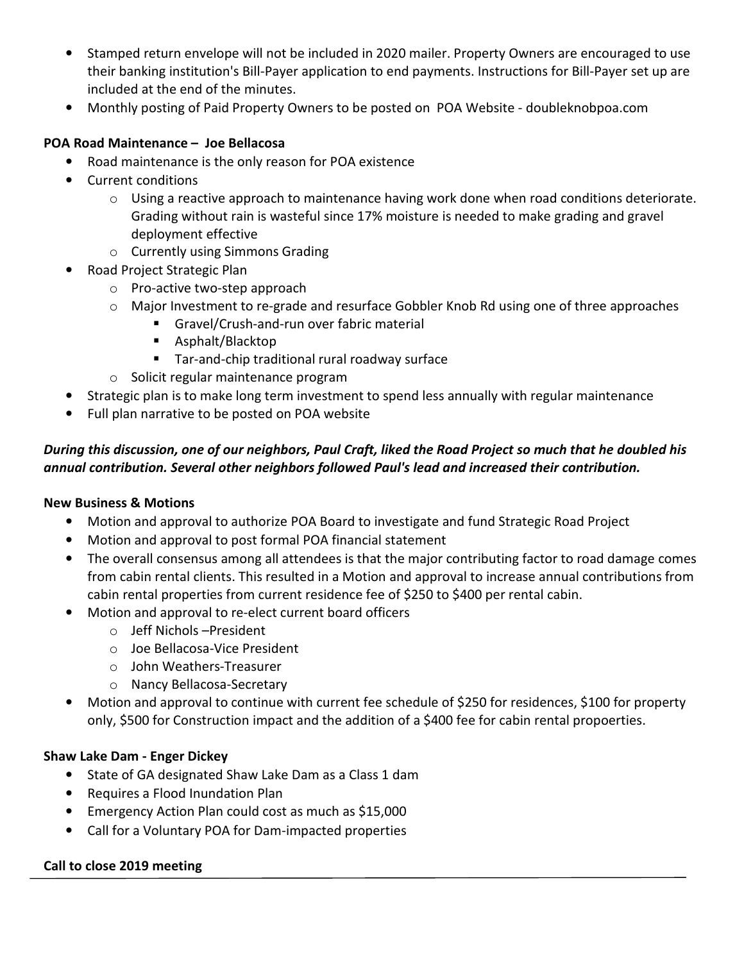- Stamped return envelope will not be included in 2020 mailer. Property Owners are encouraged to use their banking institution's Bill-Payer application to end payments. Instructions for Bill-Payer set up are included at the end of the minutes.
- Monthly posting of Paid Property Owners to be posted on POA Website doubleknobpoa.com

### **POA Road Maintenance – Joe Bellacosa**

- Road maintenance is the only reason for POA existence
- Current conditions
	- $\circ$  Using a reactive approach to maintenance having work done when road conditions deteriorate. Grading without rain is wasteful since 17% moisture is needed to make grading and gravel deployment effective
	- o Currently using Simmons Grading
- Road Project Strategic Plan
	- o Pro-active two-step approach
	- o Major Investment to re-grade and resurface Gobbler Knob Rd using one of three approaches
		- **Gravel/Crush-and-run over fabric material**
		- Asphalt/Blacktop
		- **Tar-and-chip traditional rural roadway surface**
	- o Solicit regular maintenance program
- Strategic plan is to make long term investment to spend less annually with regular maintenance
- Full plan narrative to be posted on POA website

# *During this discussion, one of our neighbors, Paul Craft, liked the Road Project so much that he doubled his annual contribution. Several other neighbors followed Paul's lead and increased their contribution.*

### **New Business & Motions**

- Motion and approval to authorize POA Board to investigate and fund Strategic Road Project
- Motion and approval to post formal POA financial statement
- The overall consensus among all attendees is that the major contributing factor to road damage comes from cabin rental clients. This resulted in a Motion and approval to increase annual contributions from cabin rental properties from current residence fee of \$250 to \$400 per rental cabin.
- Motion and approval to re-elect current board officers
	- o Jeff Nichols –President
	- o Joe Bellacosa-Vice President
	- o John Weathers-Treasurer
	- o Nancy Bellacosa-Secretary
- Motion and approval to continue with current fee schedule of \$250 for residences, \$100 for property only, \$500 for Construction impact and the addition of a \$400 fee for cabin rental propoerties.

### **Shaw Lake Dam - Enger Dickey**

- State of GA designated Shaw Lake Dam as a Class 1 dam
- Requires a Flood Inundation Plan
- Emergency Action Plan could cost as much as \$15,000
- Call for a Voluntary POA for Dam-impacted properties

### **Call to close 2019 meeting**

İ